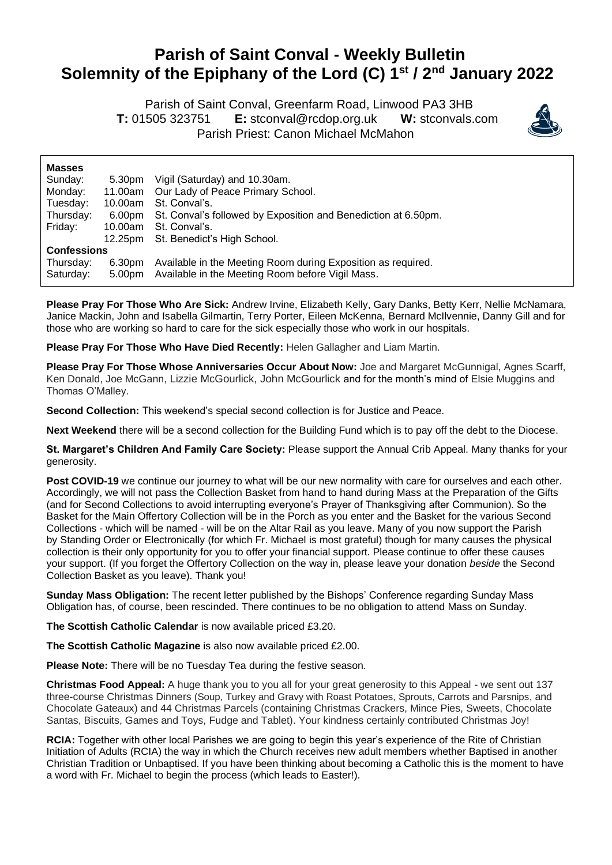## **Parish of Saint Conval - Weekly Bulletin Solemnity of the Epiphany of the Lord (C) 1 st / 2 nd January 2022**

 Parish of Saint Conval, Greenfarm Road, Linwood PA3 3HB **T:** 01505 323751 **E:** [stconval@rcdop.org.uk](mailto:stconval@rcdop.org.uk) **W:** stconvals.com Parish Priest: Canon Michael McMahon



| <b>Masses</b>      |         |                                                                |
|--------------------|---------|----------------------------------------------------------------|
| Sunday:            | 5.30pm  | Vigil (Saturday) and 10.30am.                                  |
| Monday:            | 11.00am | Our Lady of Peace Primary School.                              |
| Tuesday:           | 10.00am | St. Conval's.                                                  |
| Thursday:          | 6.00pm  | St. Conval's followed by Exposition and Benediction at 6.50pm. |
| Friday:            | 10.00am | St. Conval's.                                                  |
|                    |         | 12.25pm St. Benedict's High School.                            |
| <b>Confessions</b> |         |                                                                |
| Thursday:          | 6.30pm  | Available in the Meeting Room during Exposition as required.   |
| Saturday:          | 5.00pm  | Available in the Meeting Room before Vigil Mass.               |

**Please Pray For Those Who Are Sick:** Andrew Irvine, Elizabeth Kelly, Gary Danks, Betty Kerr, Nellie McNamara, Janice Mackin, John and Isabella Gilmartin, Terry Porter, Eileen McKenna, Bernard McIlvennie, Danny Gill and for those who are working so hard to care for the sick especially those who work in our hospitals.

**Please Pray For Those Who Have Died Recently:** Helen Gallagher and Liam Martin.

**Please Pray For Those Whose Anniversaries Occur About Now:** Joe and Margaret McGunnigal, Agnes Scarff, Ken Donald, Joe McGann, Lizzie McGourlick, John McGourlick and for the month's mind of Elsie Muggins and Thomas O'Malley.

**Second Collection:** This weekend's special second collection is for Justice and Peace.

**Next Weekend** there will be a second collection for the Building Fund which is to pay off the debt to the Diocese.

**St. Margaret's Children And Family Care Society:** Please support the Annual Crib Appeal. Many thanks for your generosity.

**Post COVID-19** we continue our journey to what will be our new normality with care for ourselves and each other. Accordingly, we will not pass the Collection Basket from hand to hand during Mass at the Preparation of the Gifts (and for Second Collections to avoid interrupting everyone's Prayer of Thanksgiving after Communion). So the Basket for the Main Offertory Collection will be in the Porch as you enter and the Basket for the various Second Collections - which will be named - will be on the Altar Rail as you leave. Many of you now support the Parish by Standing Order or Electronically (for which Fr. Michael is most grateful) though for many causes the physical collection is their only opportunity for you to offer your financial support. Please continue to offer these causes your support. (If you forget the Offertory Collection on the way in, please leave your donation *beside* the Second Collection Basket as you leave). Thank you!

**Sunday Mass Obligation:** The recent letter published by the Bishops' Conference regarding Sunday Mass Obligation has, of course, been rescinded. There continues to be no obligation to attend Mass on Sunday.

**The Scottish Catholic Calendar** is now available priced £3.20.

**The Scottish Catholic Magazine** is also now available priced £2.00.

**Please Note:** There will be no Tuesday Tea during the festive season.

**Christmas Food Appeal:** A huge thank you to you all for your great generosity to this Appeal - we sent out 137 three-course Christmas Dinners (Soup, Turkey and Gravy with Roast Potatoes, Sprouts, Carrots and Parsnips, and Chocolate Gateaux) and 44 Christmas Parcels (containing Christmas Crackers, Mince Pies, Sweets, Chocolate Santas, Biscuits, Games and Toys, Fudge and Tablet). Your kindness certainly contributed Christmas Joy!

**RCIA:** Together with other local Parishes we are going to begin this year's experience of the Rite of Christian Initiation of Adults (RCIA) the way in which the Church receives new adult members whether Baptised in another Christian Tradition or Unbaptised. If you have been thinking about becoming a Catholic this is the moment to have a word with Fr. Michael to begin the process (which leads to Easter!).